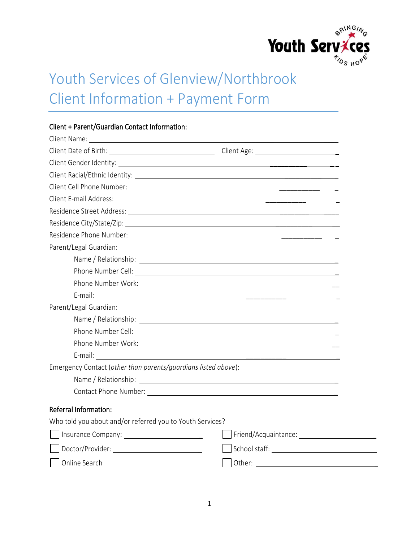

# Youth Services of Glenview/Northbrook Client Information + Payment Form

| Client + Parent/Guardian Contact Information:                  |                                                                                                                                                                                                                                |
|----------------------------------------------------------------|--------------------------------------------------------------------------------------------------------------------------------------------------------------------------------------------------------------------------------|
|                                                                |                                                                                                                                                                                                                                |
|                                                                |                                                                                                                                                                                                                                |
|                                                                |                                                                                                                                                                                                                                |
|                                                                |                                                                                                                                                                                                                                |
|                                                                |                                                                                                                                                                                                                                |
|                                                                | Client E-mail Address: 2008 and 2008 and 2008 and 2008 and 2008 and 2008 and 2008 and 2008 and 2008 and 2008 and 2008 and 2008 and 2008 and 2008 and 2008 and 2008 and 2008 and 2008 and 2008 and 2008 and 2008 and 2008 and 2 |
|                                                                |                                                                                                                                                                                                                                |
|                                                                |                                                                                                                                                                                                                                |
|                                                                |                                                                                                                                                                                                                                |
| Parent/Legal Guardian:                                         |                                                                                                                                                                                                                                |
|                                                                |                                                                                                                                                                                                                                |
|                                                                |                                                                                                                                                                                                                                |
|                                                                |                                                                                                                                                                                                                                |
|                                                                |                                                                                                                                                                                                                                |
| Parent/Legal Guardian:                                         |                                                                                                                                                                                                                                |
|                                                                |                                                                                                                                                                                                                                |
|                                                                |                                                                                                                                                                                                                                |
|                                                                |                                                                                                                                                                                                                                |
| E-mail:<br><u> 1989 - John Stein, Amerikaansk politiker (</u>  |                                                                                                                                                                                                                                |
| Emergency Contact (other than parents/quardians listed above): |                                                                                                                                                                                                                                |
|                                                                |                                                                                                                                                                                                                                |
|                                                                |                                                                                                                                                                                                                                |
| <b>Referral Information:</b>                                   |                                                                                                                                                                                                                                |
| Who told you about and/or referred you to Youth Services?      |                                                                                                                                                                                                                                |
|                                                                |                                                                                                                                                                                                                                |
|                                                                |                                                                                                                                                                                                                                |
| Online Search                                                  | Other:                                                                                                                                                                                                                         |

## $Client + Parent/Cuardian Content Informati$